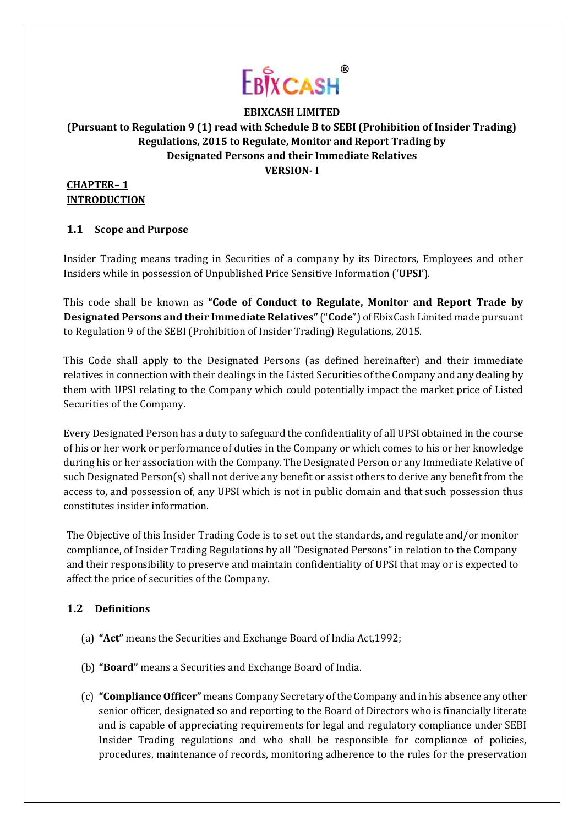

# **EBIXCASH LIMITED (Pursuant to Regulation 9 (1) read with Schedule B to SEBI (Prohibition of Insider Trading) Regulations, 2015 to Regulate, Monitor and Report Trading by Designated Persons and their Immediate Relatives VERSION- I**

### **CHAPTER– 1 INTRODUCTION**

# **1.1 Scope and Purpose**

Insider Trading means trading in Securities of a company by its Directors, Employees and other Insiders while in possession of Unpublished Price Sensitive Information ('**UPSI**').

This code shall be known as **"Code of Conduct to Regulate, Monitor and Report Trade by Designated Persons and their Immediate Relatives"**("**Code**") of EbixCash Limited made pursuant to Regulation 9 of the SEBI (Prohibition of Insider Trading) Regulations, 2015.

This Code shall apply to the Designated Persons (as defined hereinafter) and their immediate relatives in connection with their dealings in the Listed Securities of the Company and any dealing by them with UPSI relating to the Company which could potentially impact the market price of Listed Securities of the Company.

Every Designated Person has a duty to safeguard the confidentiality of all UPSI obtained in the course of his or her work or performance of duties in the Company or which comes to his or her knowledge during his or her association with the Company. The Designated Person or any Immediate Relative of such Designated Person(s) shall not derive any benefit or assist others to derive any benefit from the access to, and possession of, any UPSI which is not in public domain and that such possession thus constitutes insider information.

The Objective of this Insider Trading Code is to set out the standards, and regulate and/or monitor compliance, of Insider Trading Regulations by all "Designated Persons" in relation to the Company and their responsibility to preserve and maintain confidentiality of UPSI that may or is expected to affect the price of securities of the Company.

# **1.2 Definitions**

- (a) **"Act"** means the Securities and Exchange Board of India Act,1992;
- (b) **"Board"** means a Securities and Exchange Board of India.
- (c) **"ComplianceOfficer"** means Company Secretary ofthe Company and in his absence any other senior officer, designated so and reporting to the Board of Directors who is financially literate and is capable of appreciating requirements for legal and regulatory compliance under SEBI Insider Trading regulations and who shall be responsible for compliance of policies, procedures, maintenance of records, monitoring adherence to the rules for the preservation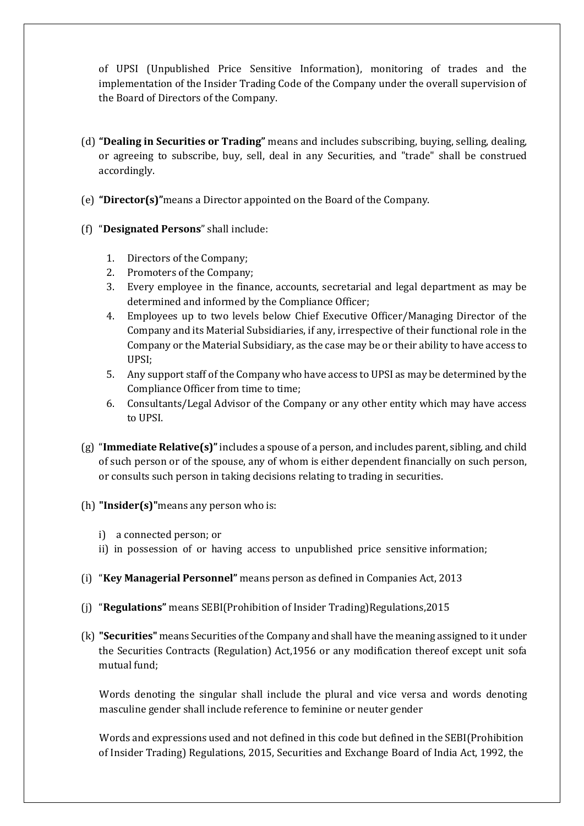of UPSI (Unpublished Price Sensitive Information), monitoring of trades and the implementation of the Insider Trading Code of the Company under the overall supervision of the Board of Directors of the Company.

- (d) **"Dealing in Securities or Trading"** means and includes subscribing, buying, selling, dealing, or agreeing to subscribe, buy, sell, deal in any Securities, and "trade" shall be construed accordingly.
- (e) **"Director(s)"**means a Director appointed on the Board of the Company.
- (f) "**Designated Persons**" shall include:
	- 1. Directors of the Company;
	- 2. Promoters of the Company;
	- 3. Every employee in the finance, accounts, secretarial and legal department as may be determined and informed by the Compliance Officer;
	- 4. Employees up to two levels below Chief Executive Officer/Managing Director of the Company and its Material Subsidiaries, if any, irrespective of their functional role in the Company or the Material Subsidiary, as the case may be or their ability to have access to UPSI;
	- 5. Any support staff of the Company who have access to UPSI as may be determined by the Compliance Officer from time to time;
	- 6. Consultants/Legal Advisor of the Company or any other entity which may have access to UPSI.
- (g) "**Immediate Relative(s)"**includes a spouse of a person, and includes parent, sibling, and child of such person or of the spouse, any of whom is either dependent financially on such person, or consults such person in taking decisions relating to trading in securities.
- (h) **"Insider(s)"**means any person who is:
	- i) a connected person; or
	- ii) in possession of or having access to unpublished price sensitive information;
- (i) "**Key Managerial Personnel"** means person as defined in Companies Act, 2013
- (j) "**Regulations"** means SEBI(Prohibition of Insider Trading)Regulations,2015
- (k) **"Securities"** means Securities of the Company and shall have the meaning assigned to it under the Securities Contracts (Regulation) Act,1956 or any modification thereof except unit sofa mutual fund;

Words denoting the singular shall include the plural and vice versa and words denoting masculine gender shall include reference to feminine or neuter gender

Words and expressions used and not defined in this code but defined in the SEBI(Prohibition of Insider Trading) Regulations, 2015, Securities and Exchange Board of India Act, 1992, the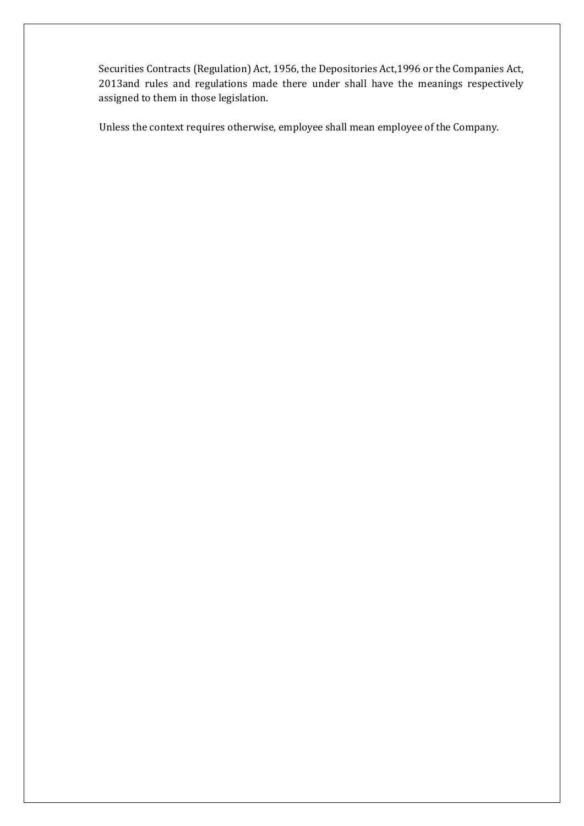Securities Contracts (Regulation) Act, 1956, the Depositories Act,1996 or the Companies Act, 2013and rules and regulations made there under shall have the meanings respectively assigned to them in those legislation.

Unless the context requires otherwise, employee shall mean employee of the Company.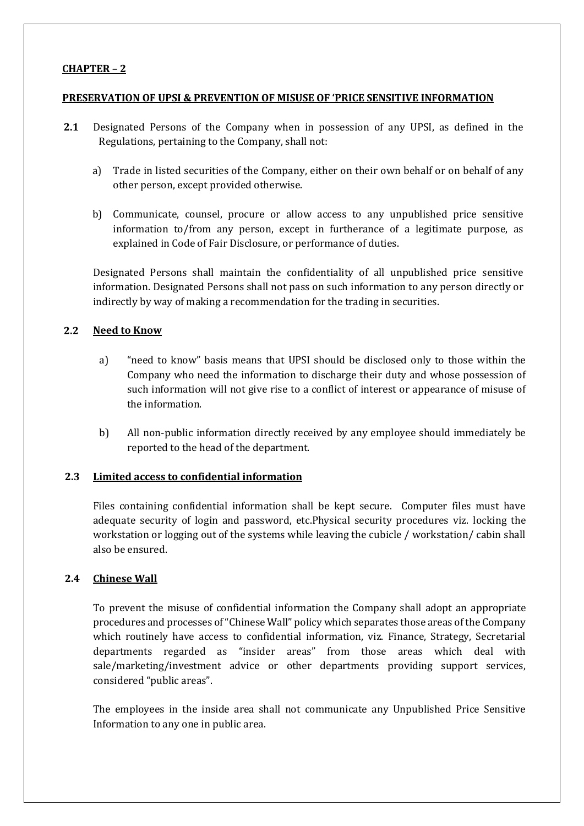### **CHAPTER – 2**

#### **PRESERVATION OF UPSI & PREVENTION OF MISUSE OF 'PRICE SENSITIVE INFORMATION**

- **2.1** Designated Persons of the Company when in possession of any UPSI, as defined in the Regulations, pertaining to the Company, shall not:
	- a) Trade in listed securities of the Company, either on their own behalf or on behalf of any other person, except provided otherwise.
	- b) Communicate, counsel, procure or allow access to any unpublished price sensitive information to/from any person, except in furtherance of a legitimate purpose, as explained in Code of Fair Disclosure, or performance of duties.

Designated Persons shall maintain the confidentiality of all unpublished price sensitive information. Designated Persons shall not pass on such information to any person directly or indirectly by way of making a recommendation for the trading in securities.

### **2.2 Need to Know**

- a) "need to know" basis means that UPSI should be disclosed only to those within the Company who need the information to discharge their duty and whose possession of such information will not give rise to a conflict of interest or appearance of misuse of the information.
- b) All non-public information directly received by any employee should immediately be reported to the head of the department.

### **2.3 Limited access to confidential information**

Files containing confidential information shall be kept secure. Computer files must have adequate security of login and password, etc.Physical security procedures viz. locking the workstation or logging out of the systems while leaving the cubicle / workstation/ cabin shall also be ensured.

### **2.4 Chinese Wall**

To prevent the misuse of confidential information the Company shall adopt an appropriate procedures and processes of "Chinese Wall" policy which separates those areas of the Company which routinely have access to confidential information, viz. Finance, Strategy, Secretarial departments regarded as "insider areas" from those areas which deal with sale/marketing/investment advice or other departments providing support services, considered "public areas".

The employees in the inside area shall not communicate any Unpublished Price Sensitive Information to any one in public area.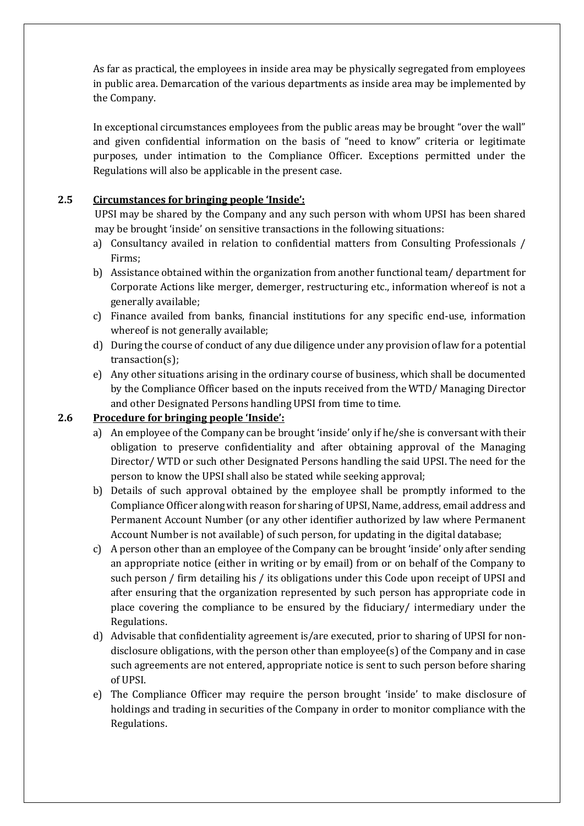As far as practical, the employees in inside area may be physically segregated from employees in public area. Demarcation of the various departments as inside area may be implemented by the Company.

In exceptional circumstances employees from the public areas may be brought "over the wall" and given confidential information on the basis of "need to know" criteria or legitimate purposes, under intimation to the Compliance Officer. Exceptions permitted under the Regulations will also be applicable in the present case.

### **2.5 Circumstances for bringing people 'Inside':**

UPSI may be shared by the Company and any such person with whom UPSI has been shared may be brought 'inside' on sensitive transactions in the following situations:

- a) Consultancy availed in relation to confidential matters from Consulting Professionals / Firms;
- b) Assistance obtained within the organization from another functional team/ department for Corporate Actions like merger, demerger, restructuring etc., information whereof is not a generally available;
- c) Finance availed from banks, financial institutions for any specific end-use, information whereof is not generally available;
- d) During the course of conduct of any due diligence under any provision of law for a potential transaction(s);
- e) Any other situations arising in the ordinary course of business, which shall be documented by the Compliance Officer based on the inputs received from the WTD/ Managing Director and other Designated Persons handling UPSI from time to time.

# **2.6 Procedure for bringing people 'Inside':**

- a) An employee of the Company can be brought 'inside' only if he/she is conversant with their obligation to preserve confidentiality and after obtaining approval of the Managing Director/ WTD or such other Designated Persons handling the said UPSI. The need for the person to know the UPSI shall also be stated while seeking approval;
- b) Details of such approval obtained by the employee shall be promptly informed to the Compliance Officer along with reason for sharing of UPSI, Name, address, email address and Permanent Account Number (or any other identifier authorized by law where Permanent Account Number is not available) of such person, for updating in the digital database;
- c) A person other than an employee of the Company can be brought 'inside' only after sending an appropriate notice (either in writing or by email) from or on behalf of the Company to such person / firm detailing his / its obligations under this Code upon receipt of UPSI and after ensuring that the organization represented by such person has appropriate code in place covering the compliance to be ensured by the fiduciary/ intermediary under the Regulations.
- d) Advisable that confidentiality agreement is/are executed, prior to sharing of UPSI for nondisclosure obligations, with the person other than employee(s) of the Company and in case such agreements are not entered, appropriate notice is sent to such person before sharing of UPSI.
- e) The Compliance Officer may require the person brought 'inside' to make disclosure of holdings and trading in securities of the Company in order to monitor compliance with the Regulations.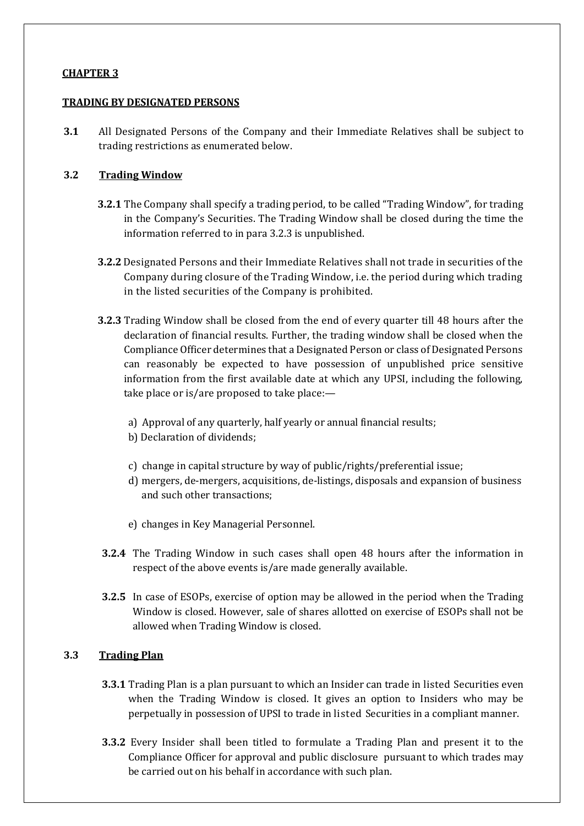### **CHAPTER 3**

#### **TRADING BY DESIGNATED PERSONS**

**3.1** All Designated Persons of the Company and their Immediate Relatives shall be subject to trading restrictions as enumerated below.

### **3.2 Trading Window**

- **3.2.1** The Company shall specify a trading period, to be called "Trading Window", for trading in the Company's Securities. The Trading Window shall be closed during the time the information referred to in para 3.2.3 is unpublished.
- **3.2.2** Designated Persons and their Immediate Relatives shall not trade in securities of the Company during closure of the Trading Window, i.e. the period during which trading in the listed securities of the Company is prohibited.
- **3.2.3** Trading Window shall be closed from the end of every quarter till 48 hours after the declaration of financial results. Further, the trading window shall be closed when the Compliance Officer determines that a Designated Person or class of Designated Persons can reasonably be expected to have possession of unpublished price sensitive information from the first available date at which any UPSI, including the following, take place or is/are proposed to take place:
	- a) Approval of any quarterly, half yearly or annual financial results;
	- b) Declaration of dividends;
	- c) change in capital structure by way of public/rights/preferential issue;
	- d) mergers, de-mergers, acquisitions, de-listings, disposals and expansion of business and such other transactions;
	- e) changes in Key Managerial Personnel.
- **3.2.4** The Trading Window in such cases shall open 48 hours after the information in respect of the above events is/are made generally available.
- **3.2.5** In case of ESOPs, exercise of option may be allowed in the period when the Trading Window is closed. However, sale of shares allotted on exercise of ESOPs shall not be allowed when Trading Window is closed.

### **3.3 Trading Plan**

- **3.3.1** Trading Plan is a plan pursuant to which an Insider can trade in listed Securities even when the Trading Window is closed. It gives an option to Insiders who may be perpetually in possession of UPSI to trade in listed Securities in a compliant manner.
- **3.3.2** Every Insider shall been titled to formulate a Trading Plan and present it to the Compliance Officer for approval and public disclosure pursuant to which trades may be carried out on his behalf in accordance with such plan.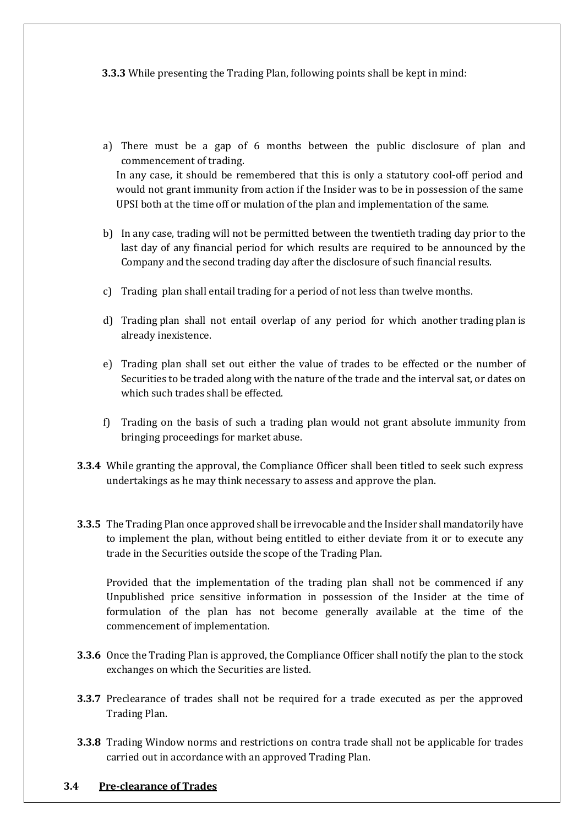**3.3.3** While presenting the Trading Plan, following points shall be kept in mind:

- a) There must be a gap of 6 months between the public disclosure of plan and commencement of trading. In any case, it should be remembered that this is only a statutory cool-off period and would not grant immunity from action if the Insider was to be in possession of the same UPSI both at the time off or mulation of the plan and implementation of the same.
- b) In any case, trading will not be permitted between the twentieth trading day prior to the last day of any financial period for which results are required to be announced by the Company and the second trading day after the disclosure of such financial results.
- c) Trading plan shall entail trading for a period of not less than twelve months.
- d) Trading plan shall not entail overlap of any period for which another trading plan is already inexistence.
- e) Trading plan shall set out either the value of trades to be effected or the number of Securities to be traded along with the nature of the trade and the interval sat, or dates on which such trades shall be effected.
- f) Trading on the basis of such a trading plan would not grant absolute immunity from bringing proceedings for market abuse.
- **3.3.4** While granting the approval, the Compliance Officer shall been titled to seek such express undertakings as he may think necessary to assess and approve the plan.
- **3.3.5** The Trading Plan once approved shall be irrevocable and the Insider shall mandatorily have to implement the plan, without being entitled to either deviate from it or to execute any trade in the Securities outside the scope of the Trading Plan.

Provided that the implementation of the trading plan shall not be commenced if any Unpublished price sensitive information in possession of the Insider at the time of formulation of the plan has not become generally available at the time of the commencement of implementation.

- **3.3.6** Once the Trading Plan is approved, the Compliance Officer shall notify the plan to the stock exchanges on which the Securities are listed.
- **3.3.7** Preclearance of trades shall not be required for a trade executed as per the approved Trading Plan.
- **3.3.8** Trading Window norms and restrictions on contra trade shall not be applicable for trades carried out in accordance with an approved Trading Plan.

#### **3.4 Pre-clearance of Trades**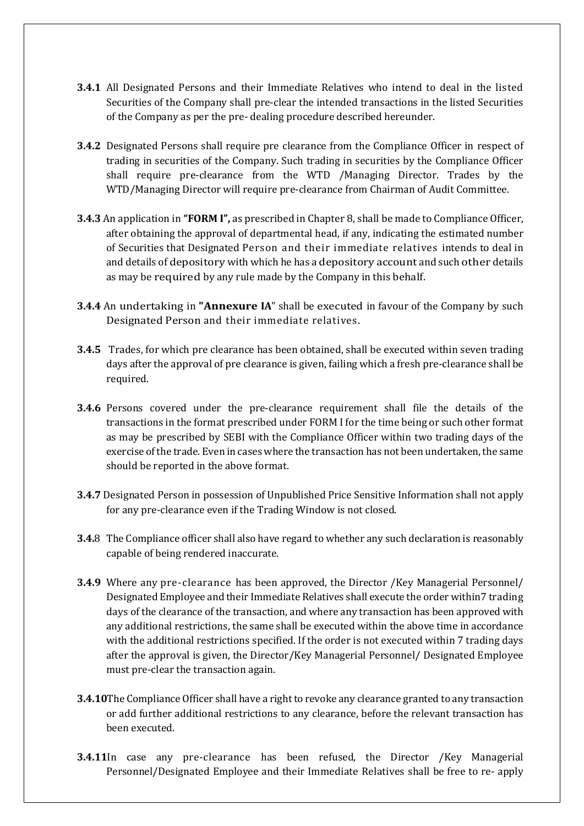- **3.4.1** All Designated Persons and their Immediate Relatives who intend to deal in the listed Securities of the Company shall pre-clear the intended transactions in the listed Securities of the Company as per the pre- dealing procedure described hereunder.
- **3.4.2** Designated Persons shall require pre clearance from the Compliance Officer in respect of trading in securities of the Company. Such trading in securities by the Compliance Officer shall require pre-clearance from the WTD /Managing Director. Trades by the WTD/Managing Director will require pre-clearance from Chairman of Audit Committee.
- **3.4.3** An application in **"FORM I",** as prescribed in Chapter 8, shall be made to Compliance Officer, after obtaining the approval of departmental head, if any, indicating the estimated number of Securities that Designated Person and their immediate relatives intends to deal in and details of depository with which he has a depository account and such other details as may be required by any rule made by the Company in this behalf.
- **3.4.4** An undertaking in **"Annexure IA**" shall be executed in favour of the Company by such Designated Person and their immediate relatives.
- **3.4.5** Trades, for which pre clearance has been obtained, shall be executed within seven trading days after the approval of pre clearance is given, failing which a fresh pre-clearance shall be required.
- **3.4.6** Persons covered under the pre-clearance requirement shall file the details of the transactions in the format prescribed under FORM I for the time being or such other format as may be prescribed by SEBI with the Compliance Officer within two trading days of the exercise of the trade. Even in cases where the transaction has not been undertaken, the same should be reported in the above format.
- **3.4.7** Designated Person in possession of Unpublished Price Sensitive Information shall not apply for any pre-clearance even if the Trading Window is not closed.
- **3.4.**8 The Compliance officer shall also have regard to whether any such declaration is reasonably capable of being rendered inaccurate.
- **3.4.9** Where any pre-clearance has been approved, the Director /Key Managerial Personnel/ Designated Employee and their Immediate Relatives shall execute the order within7 trading days of the clearance of the transaction, and where any transaction has been approved with any additional restrictions, the same shall be executed within the above time in accordance with the additional restrictions specified. If the order is not executed within 7 trading days after the approval is given, the Director/Key Managerial Personnel/ Designated Employee must pre-clear the transaction again.
- **3.4.10**The Compliance Officer shall have a right to revoke any clearance granted to any transaction or add further additional restrictions to any clearance, before the relevant transaction has been executed.
- **3.4.11**In case any pre-clearance has been refused, the Director /Key Managerial Personnel/Designated Employee and their Immediate Relatives shall be free to re- apply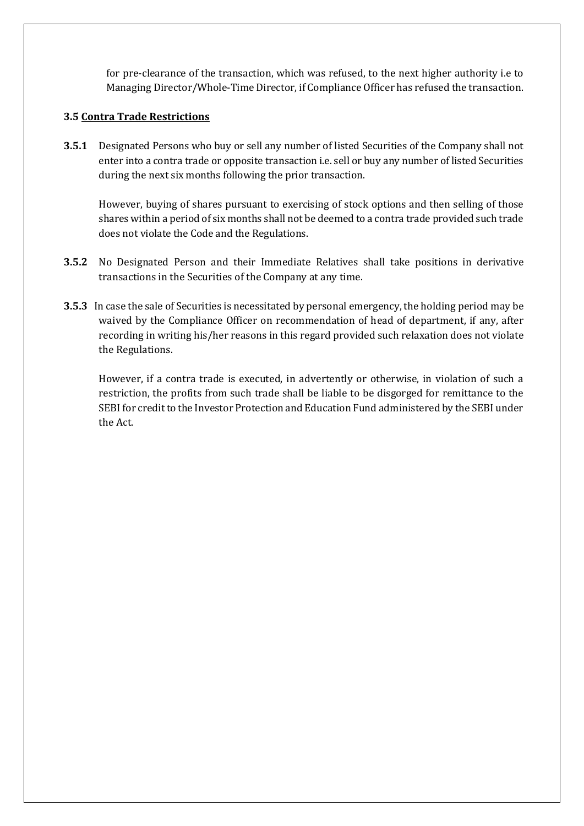for pre-clearance of the transaction, which was refused, to the next higher authority i.e to Managing Director/Whole-Time Director, if Compliance Officer has refused the transaction.

### **3.5 Contra Trade Restrictions**

**3.5.1** Designated Persons who buy or sell any number of listed Securities of the Company shall not enter into a contra trade or opposite transaction i.e. sell or buy any number of listed Securities during the next six months following the prior transaction.

However, buying of shares pursuant to exercising of stock options and then selling of those shares within a period of six months shall not be deemed to a contra trade provided such trade does not violate the Code and the Regulations.

- **3.5.2** No Designated Person and their Immediate Relatives shall take positions in derivative transactions in the Securities of the Company at any time.
- **3.5.3** In case the sale of Securities is necessitated by personal emergency, the holding period may be waived by the Compliance Officer on recommendation of head of department, if any, after recording in writing his/her reasons in this regard provided such relaxation does not violate the Regulations.

However, if a contra trade is executed, in advertently or otherwise, in violation of such a restriction, the profits from such trade shall be liable to be disgorged for remittance to the SEBI for credit to the Investor Protection and Education Fund administered by the SEBI under the Act.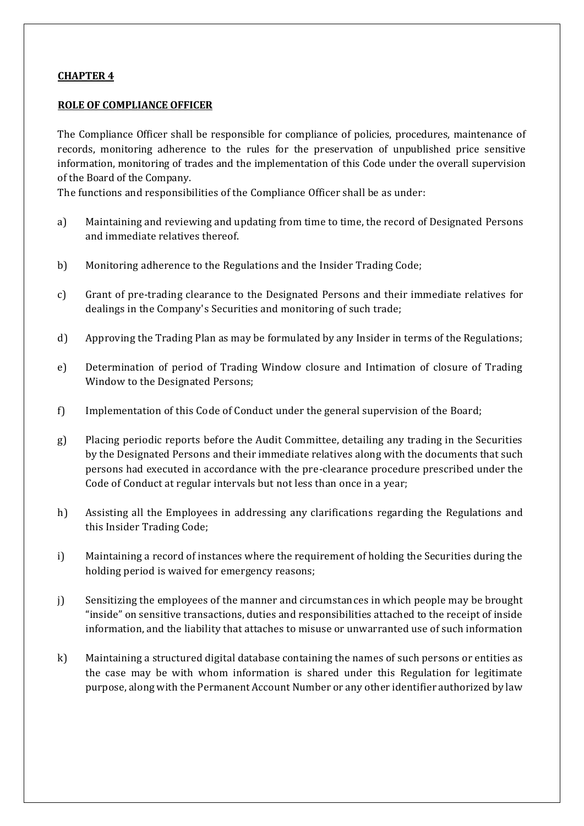### **CHAPTER 4**

#### **ROLE OF COMPLIANCE OFFICER**

The Compliance Officer shall be responsible for compliance of policies, procedures, maintenance of records, monitoring adherence to the rules for the preservation of unpublished price sensitive information, monitoring of trades and the implementation of this Code under the overall supervision of the Board of the Company.

The functions and responsibilities of the Compliance Officer shall be as under:

- a) Maintaining and reviewing and updating from time to time, the record of Designated Persons and immediate relatives thereof.
- b) Monitoring adherence to the Regulations and the Insider Trading Code;
- c) Grant of pre-trading clearance to the Designated Persons and their immediate relatives for dealings in the Company's Securities and monitoring of such trade;
- d) Approving the Trading Plan as may be formulated by any Insider in terms of the Regulations;
- e) Determination of period of Trading Window closure and Intimation of closure of Trading Window to the Designated Persons;
- f) Implementation of this Code of Conduct under the general supervision of the Board;
- g) Placing periodic reports before the Audit Committee, detailing any trading in the Securities by the Designated Persons and their immediate relatives along with the documents that such persons had executed in accordance with the pre-clearance procedure prescribed under the Code of Conduct at regular intervals but not less than once in a year;
- h) Assisting all the Employees in addressing any clarifications regarding the Regulations and this Insider Trading Code;
- i) Maintaining a record of instances where the requirement of holding the Securities during the holding period is waived for emergency reasons;
- j) Sensitizing the employees of the manner and circumstances in which people may be brought "inside" on sensitive transactions, duties and responsibilities attached to the receipt of inside information, and the liability that attaches to misuse or unwarranted use of such information
- k) Maintaining a structured digital database containing the names of such persons or entities as the case may be with whom information is shared under this Regulation for legitimate purpose, along with the Permanent Account Number or any other identifier authorized by law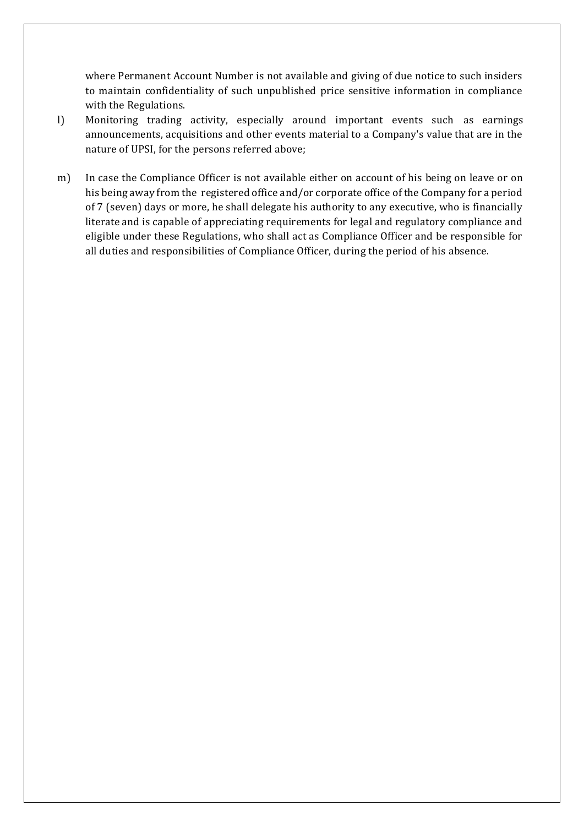where Permanent Account Number is not available and giving of due notice to such insiders to maintain confidentiality of such unpublished price sensitive information in compliance with the Regulations.

- l) Monitoring trading activity, especially around important events such as earnings announcements, acquisitions and other events material to a Company's value that are in the nature of UPSI, for the persons referred above;
- m) In case the Compliance Officer is not available either on account of his being on leave or on his being away from the registered office and/or corporate office of the Company for a period of 7 (seven) days or more, he shall delegate his authority to any executive, who is financially literate and is capable of appreciating requirements for legal and regulatory compliance and eligible under these Regulations, who shall act as Compliance Officer and be responsible for all duties and responsibilities of Compliance Officer, during the period of his absence.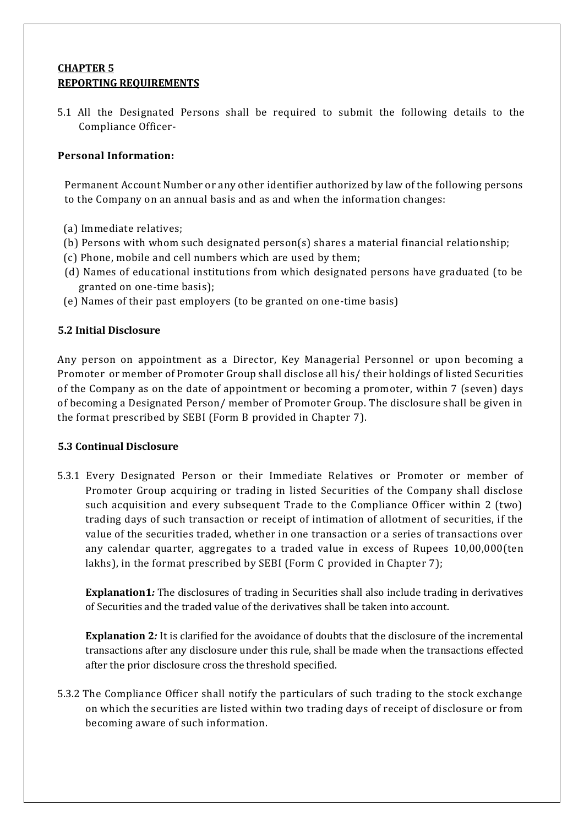### **CHAPTER 5 REPORTING REQUIREMENTS**

5.1 All the Designated Persons shall be required to submit the following details to the Compliance Officer-

### **Personal Information:**

Permanent Account Number or any other identifier authorized by law of the following persons to the Company on an annual basis and as and when the information changes:

- (a) Immediate relatives;
- (b) Persons with whom such designated person(s) shares a material financial relationship;
- (c) Phone, mobile and cell numbers which are used by them;
- (d) Names of educational institutions from which designated persons have graduated (to be granted on one-time basis);
- (e) Names of their past employers (to be granted on one-time basis)

### **5.2 Initial Disclosure**

Any person on appointment as a Director, Key Managerial Personnel or upon becoming a Promoter or member of Promoter Group shall disclose all his/ their holdings of listed Securities of the Company as on the date of appointment or becoming a promoter, within 7 (seven) days of becoming a Designated Person/ member of Promoter Group. The disclosure shall be given in the format prescribed by SEBI (Form B provided in Chapter 7).

### **5.3 Continual Disclosure**

5.3.1 Every Designated Person or their Immediate Relatives or Promoter or member of Promoter Group acquiring or trading in listed Securities of the Company shall disclose such acquisition and every subsequent Trade to the Compliance Officer within 2 (two) trading days of such transaction or receipt of intimation of allotment of securities, if the value of the securities traded, whether in one transaction or a series of transactions over any calendar quarter, aggregates to a traded value in excess of Rupees 10,00,000(ten lakhs), in the format prescribed by SEBI (Form C provided in Chapter 7);

**Explanation1***:* The disclosures of trading in Securities shall also include trading in derivatives of Securities and the traded value of the derivatives shall be taken into account.

**Explanation 2***:* It is clarified for the avoidance of doubts that the disclosure of the incremental transactions after any disclosure under this rule, shall be made when the transactions effected after the prior disclosure cross the threshold specified.

5.3.2 The Compliance Officer shall notify the particulars of such trading to the stock exchange on which the securities are listed within two trading days of receipt of disclosure or from becoming aware of such information.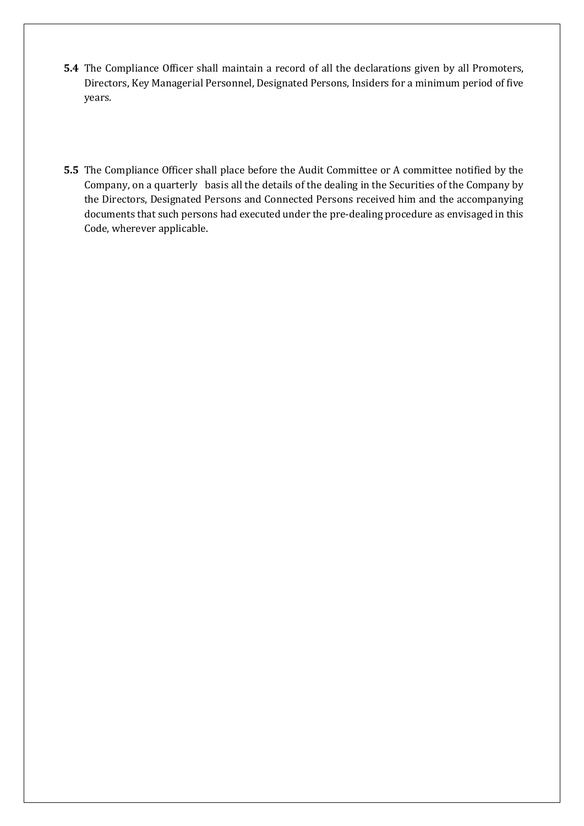- **5.4** The Compliance Officer shall maintain a record of all the declarations given by all Promoters, Directors, Key Managerial Personnel, Designated Persons, Insiders for a minimum period of five years.
- **5.5** The Compliance Officer shall place before the Audit Committee or A committee notified by the Company, on a quarterly basis all the details of the dealing in the Securities of the Company by the Directors, Designated Persons and Connected Persons received him and the accompanying documents that such persons had executed under the pre-dealing procedure as envisaged in this Code, wherever applicable.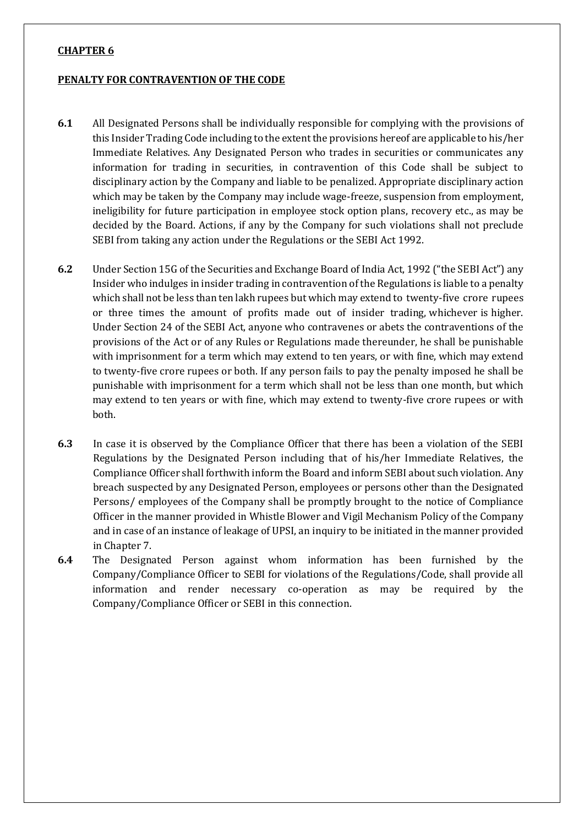#### **CHAPTER 6**

#### **PENALTY FOR CONTRAVENTION OF THE CODE**

- **6.1** All Designated Persons shall be individually responsible for complying with the provisions of this Insider Trading Code including to the extent the provisions hereof are applicable to his/her Immediate Relatives. Any Designated Person who trades in securities or communicates any information for trading in securities, in contravention of this Code shall be subject to disciplinary action by the Company and liable to be penalized. Appropriate disciplinary action which may be taken by the Company may include wage-freeze, suspension from employment, ineligibility for future participation in employee stock option plans, recovery etc., as may be decided by the Board. Actions, if any by the Company for such violations shall not preclude SEBI from taking any action under the Regulations or the SEBI Act 1992.
- **6.2** Under Section 15G of the Securities and Exchange Board of India Act, 1992 ("the SEBI Act") any Insider who indulges in insider trading in contravention of the Regulations is liable to a penalty which shall not be less than ten lakh rupees but which may extend to twenty-five crore rupees or three times the amount of profits made out of insider trading, whichever is higher. Under Section 24 of the SEBI Act, anyone who contravenes or abets the contraventions of the provisions of the Act or of any Rules or Regulations made thereunder, he shall be punishable with imprisonment for a term which may extend to ten years, or with fine, which may extend to twenty-five crore rupees or both. If any person fails to pay the penalty imposed he shall be punishable with imprisonment for a term which shall not be less than one month, but which may extend to ten years or with fine, which may extend to twenty-five crore rupees or with both.
- **6.3** In case it is observed by the Compliance Officer that there has been a violation of the SEBI Regulations by the Designated Person including that of his/her Immediate Relatives, the Compliance Officer shall forthwith inform the Board and inform SEBI about such violation. Any breach suspected by any Designated Person, employees or persons other than the Designated Persons/ employees of the Company shall be promptly brought to the notice of Compliance Officer in the manner provided in Whistle Blower and Vigil Mechanism Policy of the Company and in case of an instance of leakage of UPSI, an inquiry to be initiated in the manner provided in Chapter 7.
- **6.4** The Designated Person against whom information has been furnished by the Company/Compliance Officer to SEBI for violations of the Regulations/Code, shall provide all information and render necessary co-operation as may be required by the Company/Compliance Officer or SEBI in this connection.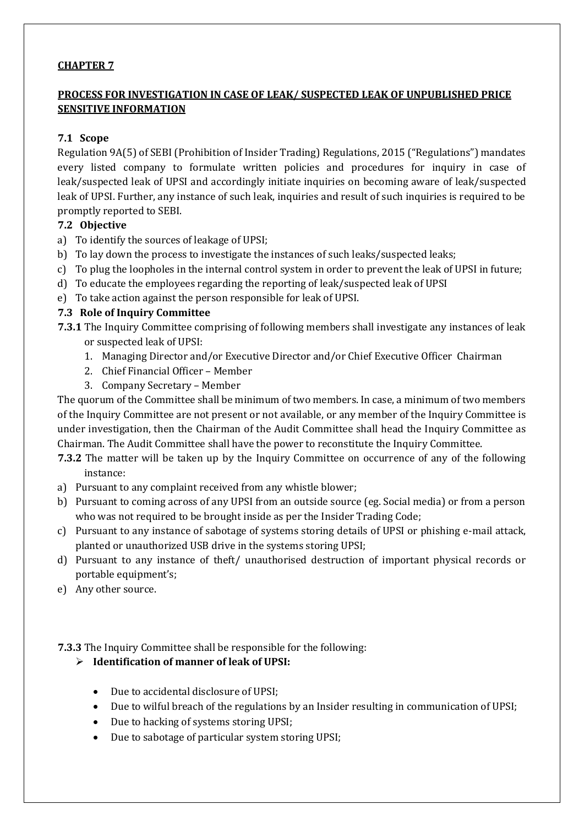### **CHAPTER 7**

# **PROCESS FOR INVESTIGATION IN CASE OF LEAK/ SUSPECTED LEAK OF UNPUBLISHED PRICE SENSITIVE INFORMATION**

### **7.1 Scope**

Regulation 9A(5) of SEBI (Prohibition of Insider Trading) Regulations, 2015 ("Regulations") mandates every listed company to formulate written policies and procedures for inquiry in case of leak/suspected leak of UPSI and accordingly initiate inquiries on becoming aware of leak/suspected leak of UPSI. Further, any instance of such leak, inquiries and result of such inquiries is required to be promptly reported to SEBI.

### **7.2 Objective**

- a) To identify the sources of leakage of UPSI;
- b) To lay down the process to investigate the instances of such leaks/suspected leaks;
- c) To plug the loopholes in the internal control system in order to prevent the leak of UPSI in future;
- d) To educate the employees regarding the reporting of leak/suspected leak of UPSI
- e) To take action against the person responsible for leak of UPSI.

### **7.3 Role of Inquiry Committee**

**7.3.1** The Inquiry Committee comprising of following members shall investigate any instances of leak or suspected leak of UPSI:

- 1. Managing Director and/or Executive Director and/or Chief Executive Officer Chairman
- 2. Chief Financial Officer Member
- 3. Company Secretary Member

The quorum of the Committee shall be minimum of two members. In case, a minimum of two members of the Inquiry Committee are not present or not available, or any member of the Inquiry Committee is under investigation, then the Chairman of the Audit Committee shall head the Inquiry Committee as Chairman. The Audit Committee shall have the power to reconstitute the Inquiry Committee.

- **7.3.2** The matter will be taken up by the Inquiry Committee on occurrence of any of the following instance:
- a) Pursuant to any complaint received from any whistle blower;
- b) Pursuant to coming across of any UPSI from an outside source (eg. Social media) or from a person who was not required to be brought inside as per the Insider Trading Code;
- c) Pursuant to any instance of sabotage of systems storing details of UPSI or phishing e-mail attack, planted or unauthorized USB drive in the systems storing UPSI;
- d) Pursuant to any instance of theft/ unauthorised destruction of important physical records or portable equipment's;
- e) Any other source.

**7.3.3** The Inquiry Committee shall be responsible for the following:

# **Identification of manner of leak of UPSI:**

- Due to accidental disclosure of UPSI;
- Due to wilful breach of the regulations by an Insider resulting in communication of UPSI;
- Due to hacking of systems storing UPSI;
- Due to sabotage of particular system storing UPSI;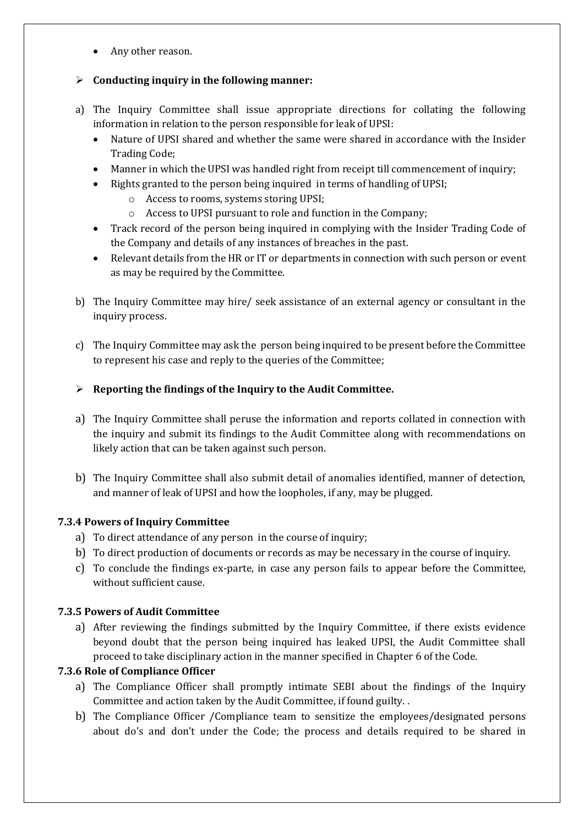• Any other reason.

# **Conducting inquiry in the following manner:**

- a) The Inquiry Committee shall issue appropriate directions for collating the following information in relation to the person responsible for leak of UPSI:
	- Nature of UPSI shared and whether the same were shared in accordance with the Insider Trading Code;
	- Manner in which the UPSI was handled right from receipt till commencement of inquiry;
	- Rights granted to the person being inquired in terms of handling of UPSI;
		- o Access to rooms, systems storing UPSI;
		- o Access to UPSI pursuant to role and function in the Company;
	- Track record of the person being inquired in complying with the Insider Trading Code of the Company and details of any instances of breaches in the past.
	- Relevant details from the HR or IT or departments in connection with such person or event as may be required by the Committee.
- b) The Inquiry Committee may hire/ seek assistance of an external agency or consultant in the inquiry process.
- c) The Inquiry Committee may ask the person being inquired to be present before the Committee to represent his case and reply to the queries of the Committee;

# **Reporting the findings of the Inquiry to the Audit Committee.**

- a) The Inquiry Committee shall peruse the information and reports collated in connection with the inquiry and submit its findings to the Audit Committee along with recommendations on likely action that can be taken against such person.
- b) The Inquiry Committee shall also submit detail of anomalies identified, manner of detection, and manner of leak of UPSI and how the loopholes, if any, may be plugged.

# **7.3.4 Powers of Inquiry Committee**

- a) To direct attendance of any person in the course of inquiry;
- b) To direct production of documents or records as may be necessary in the course of inquiry.
- c) To conclude the findings ex-parte, in case any person fails to appear before the Committee, without sufficient cause.

# **7.3.5 Powers of Audit Committee**

a) After reviewing the findings submitted by the Inquiry Committee, if there exists evidence beyond doubt that the person being inquired has leaked UPSI, the Audit Committee shall proceed to take disciplinary action in the manner specified in Chapter 6 of the Code.

# **7.3.6 Role of Compliance Officer**

- a) The Compliance Officer shall promptly intimate SEBI about the findings of the Inquiry Committee and action taken by the Audit Committee, if found guilty. .
- b) The Compliance Officer /Compliance team to sensitize the employees/designated persons about do's and don't under the Code; the process and details required to be shared in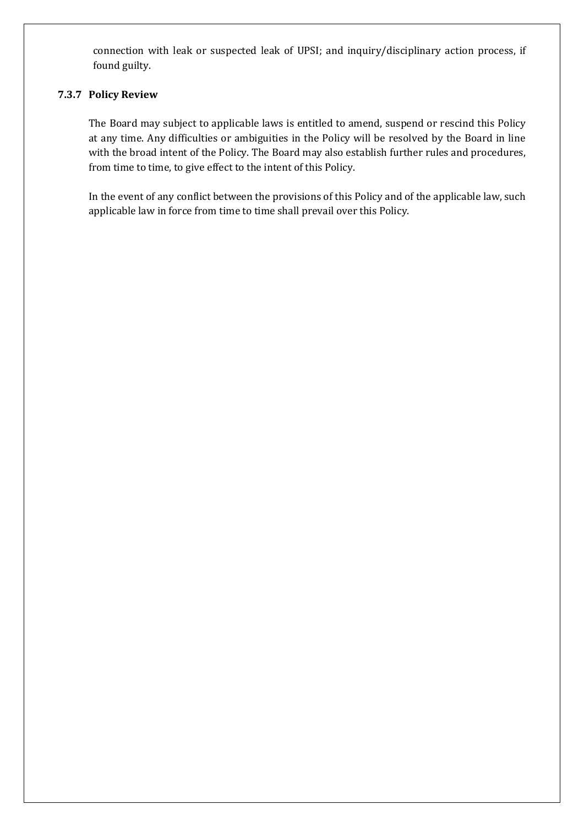connection with leak or suspected leak of UPSI; and inquiry/disciplinary action process, if found guilty.

### **7.3.7 Policy Review**

The Board may subject to applicable laws is entitled to amend, suspend or rescind this Policy at any time. Any difficulties or ambiguities in the Policy will be resolved by the Board in line with the broad intent of the Policy. The Board may also establish further rules and procedures, from time to time, to give effect to the intent of this Policy.

In the event of any conflict between the provisions of this Policy and of the applicable law, such applicable law in force from time to time shall prevail over this Policy.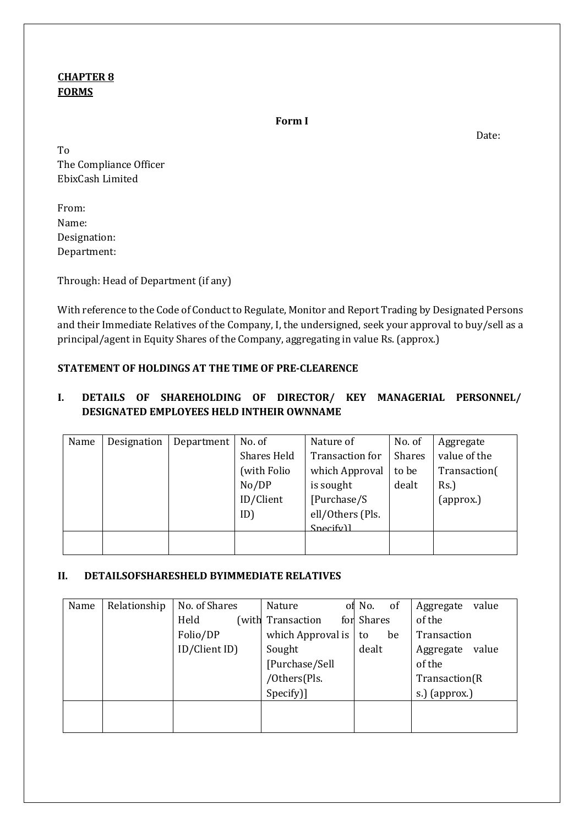# **CHAPTER 8 FORMS**

**Form I**

Date:

To The Compliance Officer EbixCash Limited

From: Name: Designation: Department:

Through: Head of Department (if any)

With reference to the Code of Conduct to Regulate, Monitor and Report Trading by Designated Persons and their Immediate Relatives of the Company, I, the undersigned, seek your approval to buy/sell as a principal/agent in Equity Shares of the Company, aggregating in value Rs. (approx.)

# **STATEMENT OF HOLDINGS AT THE TIME OF PRE-CLEARENCE**

# **I. DETAILS OF SHAREHOLDING OF DIRECTOR/ KEY MANAGERIAL PERSONNEL/ DESIGNATED EMPLOYEES HELD INTHEIR OWNNAME**

| Name | Designation | Department | No. of             | Nature of        | No. of        | Aggregate    |
|------|-------------|------------|--------------------|------------------|---------------|--------------|
|      |             |            | <b>Shares Held</b> | Transaction for  | <b>Shares</b> | value of the |
|      |             |            | (with Folio        | which Approval   | to be         | Transaction( |
|      |             |            | No/DP              | is sought        | dealt         | Rs.          |
|      |             |            | ID/Client          | [Purchase/S]     |               | (approx.)    |
|      |             |            | ID)                | ell/Others (Pls. |               |              |
|      |             |            |                    | Snerifv1         |               |              |
|      |             |            |                    |                  |               |              |
|      |             |            |                    |                  |               |              |

# **II. DETAILSOFSHARESHELD BYIMMEDIATE RELATIVES**

| Name | Relationship | No. of Shares | Nature            | of No.<br>-of | value<br>Aggregate |
|------|--------------|---------------|-------------------|---------------|--------------------|
|      |              | Held<br>(with | Transaction       | for Shares    | of the             |
|      |              | Folio/DP      | which Approval is | be<br>to      | Transaction        |
|      |              | ID/Client ID) | Sought            | dealt         | value<br>Aggregate |
|      |              |               | [Purchase/Sell    |               | of the             |
|      |              |               | /Others(Pls.      |               | Transaction(R      |
|      |              |               | Specify)]         |               | s.) (approx.)      |
|      |              |               |                   |               |                    |
|      |              |               |                   |               |                    |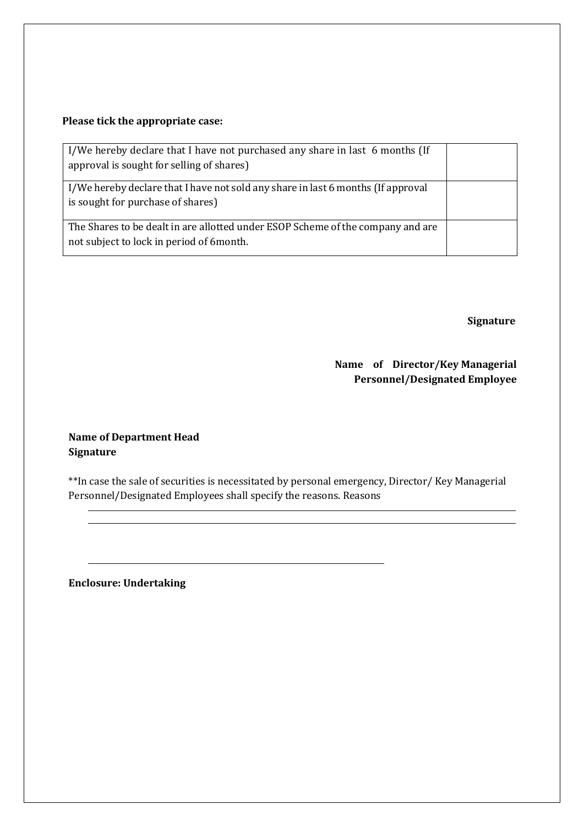# **Please tick the appropriate case:**

| I/We hereby declare that I have not purchased any share in last 6 months (If<br>approval is sought for selling of shares)    |  |
|------------------------------------------------------------------------------------------------------------------------------|--|
| I/We hereby declare that I have not sold any share in last 6 months (If approval<br>is sought for purchase of shares)        |  |
| The Shares to be dealt in are allotted under ESOP Scheme of the company and are<br>not subject to lock in period of 6 month. |  |

 **Signature**

# **Name of Director/Key Managerial Personnel/Designated Employee**

### **Name of Department Head Signature**

\*\*In case the sale of securities is necessitated by personal emergency, Director/ Key Managerial Personnel/Designated Employees shall specify the reasons. Reasons

**Enclosure: Undertaking**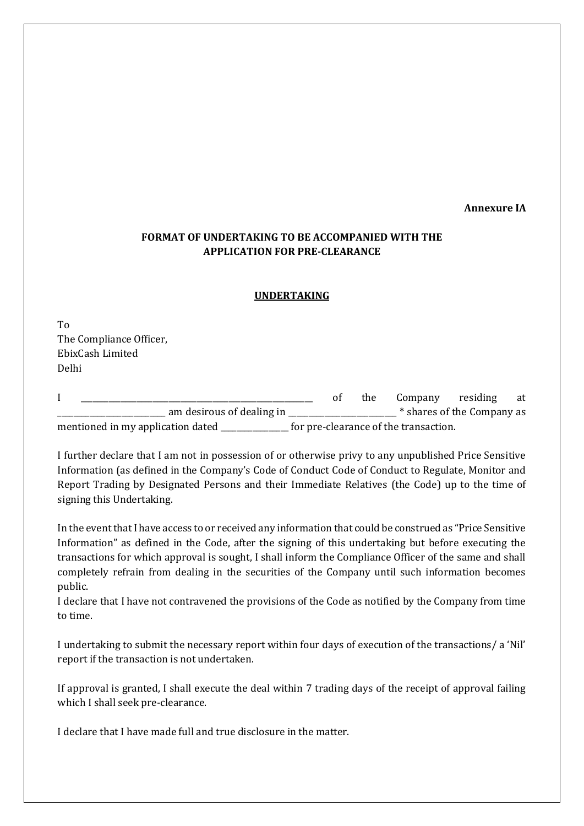#### **Annexure IA**

# **FORMAT OF UNDERTAKING TO BE ACCOMPANIED WITH THE APPLICATION FOR PRE-CLEARANCE**

#### **UNDERTAKING**

To The Compliance Officer, EbixCash Limited Delhi

|                                   |  | the | Company residing                      |                            | at |
|-----------------------------------|--|-----|---------------------------------------|----------------------------|----|
| am desirous of dealing in         |  |     |                                       | * shares of the Company as |    |
| mentioned in my application dated |  |     | for pre-clearance of the transaction. |                            |    |

I further declare that I am not in possession of or otherwise privy to any unpublished Price Sensitive Information (as defined in the Company's Code of Conduct Code of Conduct to Regulate, Monitor and Report Trading by Designated Persons and their Immediate Relatives (the Code) up to the time of signing this Undertaking.

In the event that I have access to or received any information that could be construed as "Price Sensitive Information" as defined in the Code, after the signing of this undertaking but before executing the transactions for which approval is sought, I shall inform the Compliance Officer of the same and shall completely refrain from dealing in the securities of the Company until such information becomes public.

I declare that I have not contravened the provisions of the Code as notified by the Company from time to time.

I undertaking to submit the necessary report within four days of execution of the transactions/ a 'Nil' report if the transaction is not undertaken.

If approval is granted, I shall execute the deal within 7 trading days of the receipt of approval failing which I shall seek pre-clearance.

I declare that I have made full and true disclosure in the matter.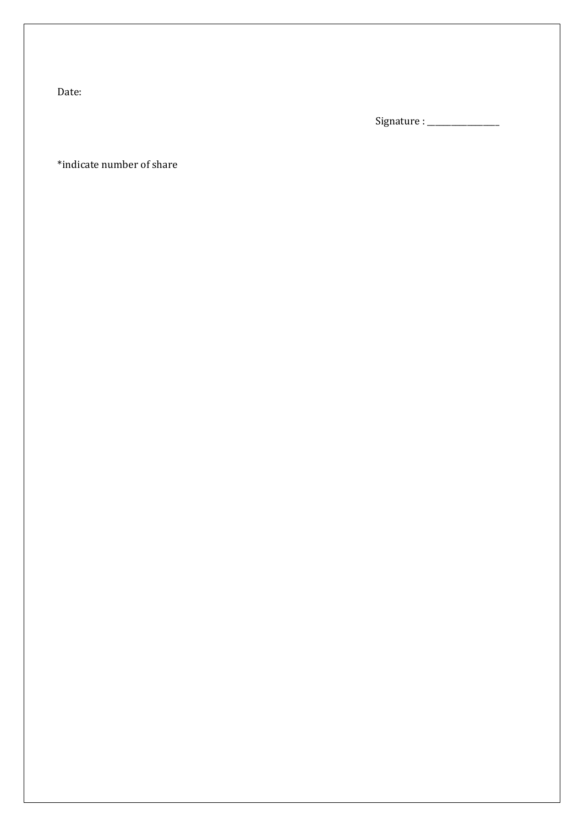Date:

Signature : \_\_\_\_\_\_\_\_\_\_\_\_\_\_\_\_\_\_

\*indicate number of share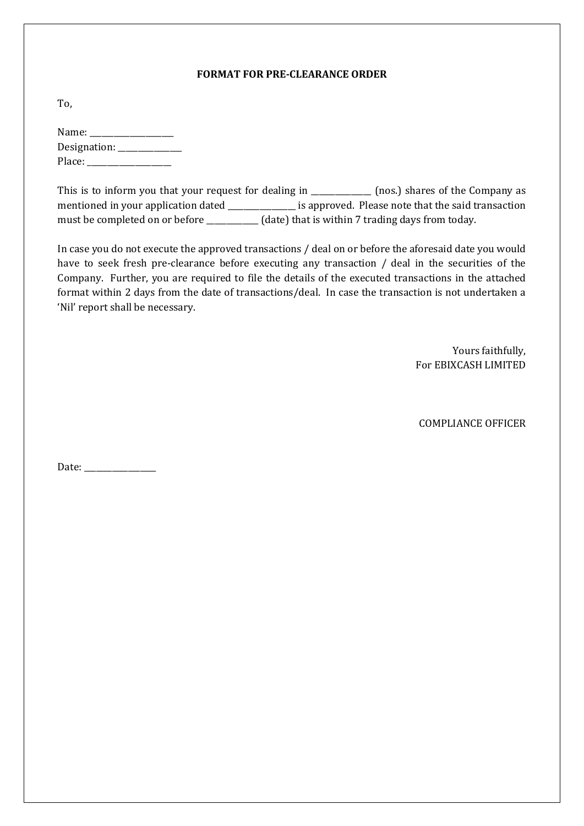#### **FORMAT FOR PRE-CLEARANCE ORDER**

To,

| Name: $\_\_$ |  |
|--------------|--|
| Designation: |  |
| Place:       |  |

This is to inform you that your request for dealing in \_\_\_\_\_\_\_\_\_\_\_\_\_\_ (nos.) shares of the Company as mentioned in your application dated \_\_\_\_\_\_\_\_\_\_\_\_\_\_\_\_\_\_\_ is approved. Please note that the said transaction must be completed on or before \_\_\_\_\_\_\_\_\_\_\_ (date) that is within 7 trading days from today.

In case you do not execute the approved transactions / deal on or before the aforesaid date you would have to seek fresh pre-clearance before executing any transaction / deal in the securities of the Company. Further, you are required to file the details of the executed transactions in the attached format within 2 days from the date of transactions/deal. In case the transaction is not undertaken a 'Nil' report shall be necessary.

> Yours faithfully, For EBIXCASH LIMITED

COMPLIANCE OFFICER

Date: \_\_\_\_\_\_\_\_\_\_\_\_\_\_\_\_\_\_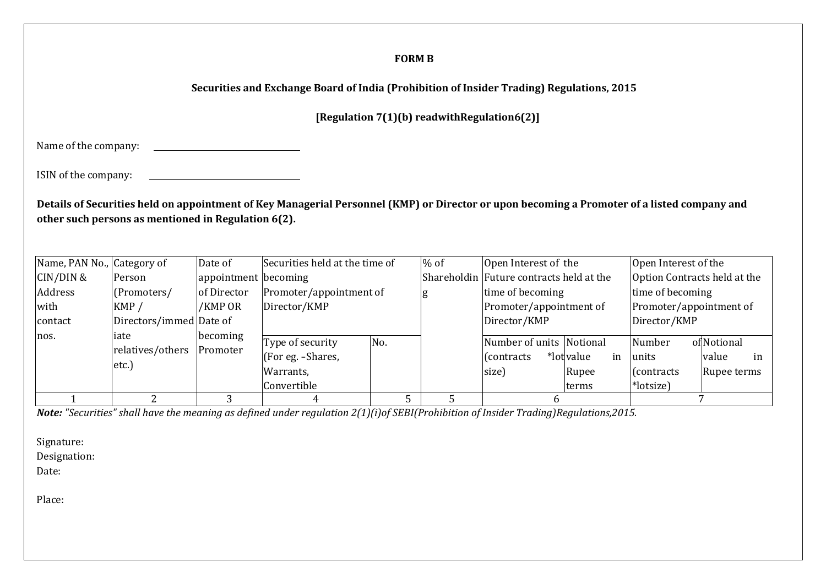#### **FORM B**

# **Securities and Exchange Board of India (Prohibition of Insider Trading) Regulations, 2015**

**[Regulation 7(1)(b) readwithRegulation6(2)]**

Name of the company: <u> 1980 - Johann Barbara, martxa a</u>

ISIN of the company:

Details of Securities held on appointment of Key Managerial Personnel (KMP) or Director or upon becoming a Promoter of a listed company and **other such persons as mentioned in Regulation 6(2).**

| Name, PAN No., Category of |                                   | Date of              | Securities held at the time of                                    |     | $%$ of | Open Interest of the                           |                                    | Open Interest of the                               |                                           |  |
|----------------------------|-----------------------------------|----------------------|-------------------------------------------------------------------|-----|--------|------------------------------------------------|------------------------------------|----------------------------------------------------|-------------------------------------------|--|
| CIN/DIN &                  | Person                            | appointment becoming |                                                                   |     |        | Shareholdin Future contracts held at the       |                                    | Option Contracts held at the                       |                                           |  |
| Address                    | (Promoters/                       | of Director          | Promoter/appointment of                                           |     | g      | time of becoming                               |                                    | time of becoming                                   |                                           |  |
| with                       | KMP/                              | /KMP OR              | Director/KMP                                                      |     |        | Promoter/appointment of                        |                                    | Promoter/appointment of                            |                                           |  |
| contact                    | Directors/immed Date of           |                      |                                                                   |     |        | Director/KMP                                   |                                    | Director/KMP                                       |                                           |  |
| nos.                       | iate<br>relatives/others<br>etc.) | becoming<br>Promoter | Type of security<br>(For eg. -Shares,<br>Warrants,<br>Convertible | No. |        | Number of units Notional<br>Contracts<br>size) | *lot value<br>in<br>Rupee<br>terms | Number<br>units<br>$\vert$ (contracts<br>*lotsize) | of Notional<br>value<br>in<br>Rupee terms |  |
|                            |                                   |                      |                                                                   |     |        |                                                |                                    |                                                    |                                           |  |

*Note: "Securities" shall have the meaning as defined under regulation 2(1)(i)of SEBI(Prohibition of Insider Trading)Regulations,2015.*

Signature:

Designation:

Date:

Place: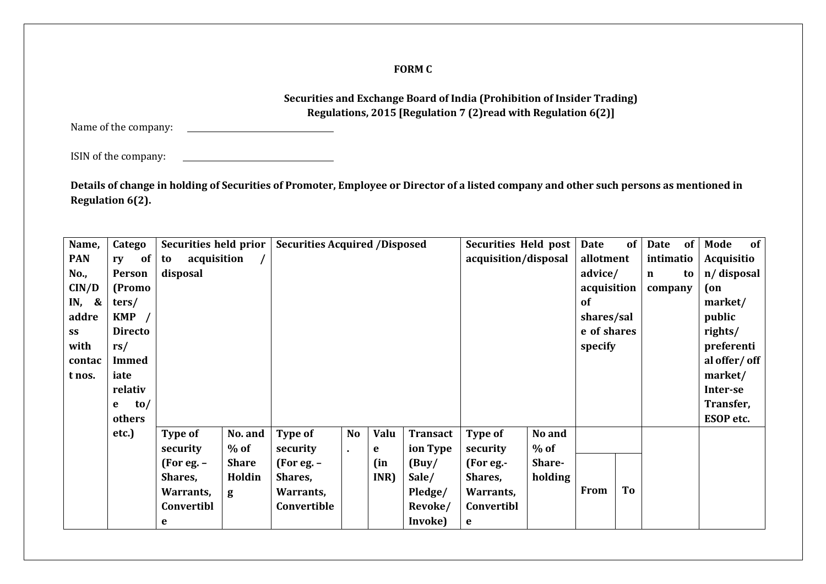### **FORM C**

# **Securities and Exchange Board of India (Prohibition of Insider Trading) Regulations, 2015 [Regulation 7 (2)read with Regulation 6(2)]**

Name of the company:

ISIN of the company: <u> 1989 - Johann Barbara, martin a</u>

<u> 1990 - Johann Barbara, martin a</u>

**Details of change in holding of Securities of Promoter, Employee or Director of a listed company and other such persons as mentioned in Regulation 6(2).**

| Name,      | Catego         | Securities held prior |              | <b>Securities Acquired /Disposed</b> |                |      |                 | Securities Held post |         | Date        | of | <b>Date</b> | of | Mode         | of |
|------------|----------------|-----------------------|--------------|--------------------------------------|----------------|------|-----------------|----------------------|---------|-------------|----|-------------|----|--------------|----|
| <b>PAN</b> | of<br>ry       | acquisition<br>to     |              |                                      |                |      |                 | acquisition/disposal |         | allotment   |    | intimatio   |    | Acquisitio   |    |
| No.,       | Person         | disposal              |              |                                      |                |      |                 |                      |         | advice/     |    | $\mathbf n$ | to | n/disposal   |    |
| CIN/D      | (Promo         |                       |              |                                      |                |      |                 |                      |         | acquisition |    | company     |    | (on          |    |
| IN, $\&$   | ters/          |                       |              |                                      |                |      |                 |                      |         | of          |    |             |    | market/      |    |
| addre      | KMP            |                       |              |                                      |                |      |                 |                      |         | shares/sal  |    |             |    | public       |    |
| SS         | <b>Directo</b> |                       |              |                                      |                |      |                 |                      |         | e of shares |    |             |    | rights/      |    |
| with       | rs/            |                       |              |                                      |                |      |                 |                      |         | specify     |    |             |    | preferenti   |    |
| contac     | <b>Immed</b>   |                       |              |                                      |                |      |                 |                      |         |             |    |             |    | al offer/off |    |
| t nos.     | iate           |                       |              |                                      |                |      |                 |                      |         |             |    |             |    | market/      |    |
|            | relativ        |                       |              |                                      |                |      |                 |                      |         |             |    |             |    | Inter-se     |    |
|            | to/<br>e       |                       |              |                                      |                |      |                 |                      |         |             |    |             |    | Transfer,    |    |
|            | others         |                       |              |                                      |                |      |                 |                      |         |             |    |             |    | ESOP etc.    |    |
|            | etc.)          | Type of               | No. and      | <b>Type of</b>                       | <b>No</b>      | Valu | <b>Transact</b> | <b>Type of</b>       | No and  |             |    |             |    |              |    |
|            |                | security              | $%$ of       | security                             | $\blacksquare$ | e    | ion Type        | security             | $%$ of  |             |    |             |    |              |    |
|            |                | (For eq. –            | <b>Share</b> | (For eq. –                           |                | (in  | (Buy/           | (For eg.-            | Share-  |             |    |             |    |              |    |
|            |                | Shares,               | Holdin       | Shares,                              |                | INR) | Sale/           | Shares,              | holding |             |    |             |    |              |    |
|            |                | Warrants,             | g            | Warrants,                            |                |      | Pledge/         | Warrants,            |         | From        | To |             |    |              |    |
|            |                | Convertibl            |              | Convertible                          |                |      | Revoke/         | Convertibl           |         |             |    |             |    |              |    |
|            |                | e                     |              |                                      |                |      | Invoke)         | e                    |         |             |    |             |    |              |    |